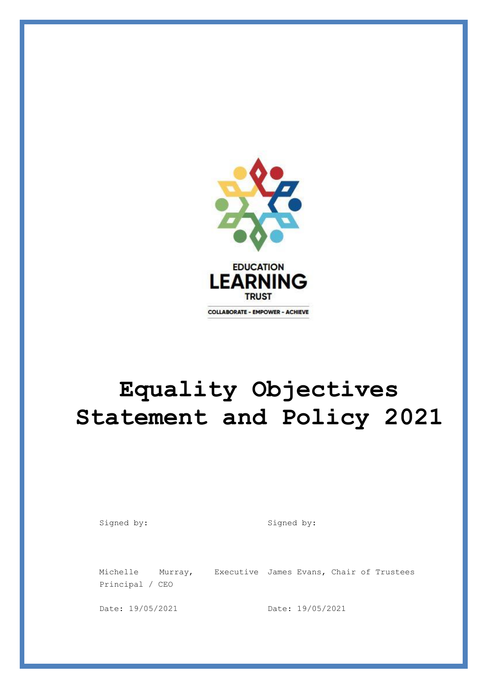

# **Equality Objectives Statement and Policy 2021**

Signed by: Signed by:

Principal / CEO

Michelle Murray, Executive James Evans, Chair of Trustees

Date: 19/05/2021 Date: 19/05/2021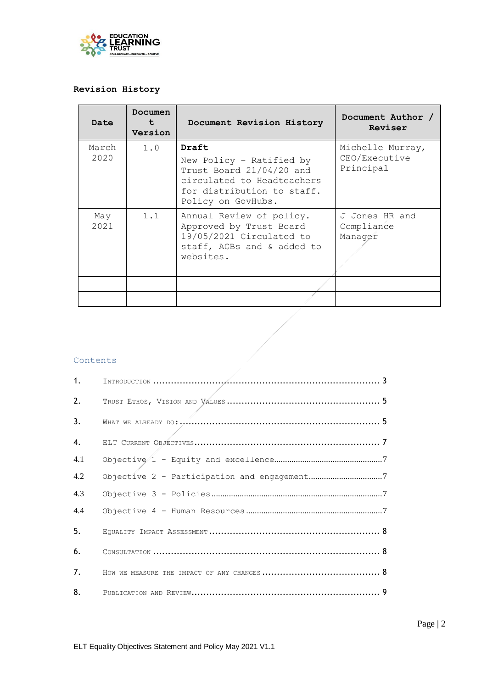

# **Revision History**

| <b>Date</b>   | Documen<br>t<br>Version | Document Revision History                                                                                                                       | Document Author /<br>Reviser                   |
|---------------|-------------------------|-------------------------------------------------------------------------------------------------------------------------------------------------|------------------------------------------------|
| March<br>2020 | 1.0                     | Draft<br>New Policy - Ratified by<br>Trust Board 21/04/20 and<br>circulated to Headteachers<br>for distribution to staff.<br>Policy on GovHubs. | Michelle Murray,<br>CEO/Executive<br>Principal |
| May<br>2021   | 1.1                     | Annual Review of policy.<br>Approved by Trust Board<br>19/05/2021 Circulated to<br>staff, AGBs and & added to<br>websites.                      | J Jones HR and<br>Compliance<br>Manager        |
|               |                         |                                                                                                                                                 |                                                |

 $\frac{1}{\sqrt{2}}\int d^3x\sqrt{2\pi}\left(\frac{1}{2}\right)\left(\frac{1}{2}\right)\left(\frac{1}{2}\right)\left(\frac{1}{2}\right)\left(\frac{1}{2}\right)\left(\frac{1}{2}\right)\left(\frac{1}{2}\right)\left(\frac{1}{2}\right)\left(\frac{1}{2}\right)\left(\frac{1}{2}\right)\left(\frac{1}{2}\right)\left(\frac{1}{2}\right)\left(\frac{1}{2}\right)\left(\frac{1}{2}\right)\left(\frac{1}{2}\right)\left(\frac{1}{2}\right)\left(\frac{1}{2}\right)\left(\frac{1}{2}\right)\left(\frac{1}{2}\right)\left(\frac{1}{2$ 

#### Contents

| 1.  |  |
|-----|--|
| 2.  |  |
| 3.  |  |
| 4.  |  |
| 4.1 |  |
| 4.2 |  |
| 4.3 |  |
| 4.4 |  |
| 5.  |  |
| 6.  |  |
| 7.  |  |
| 8.  |  |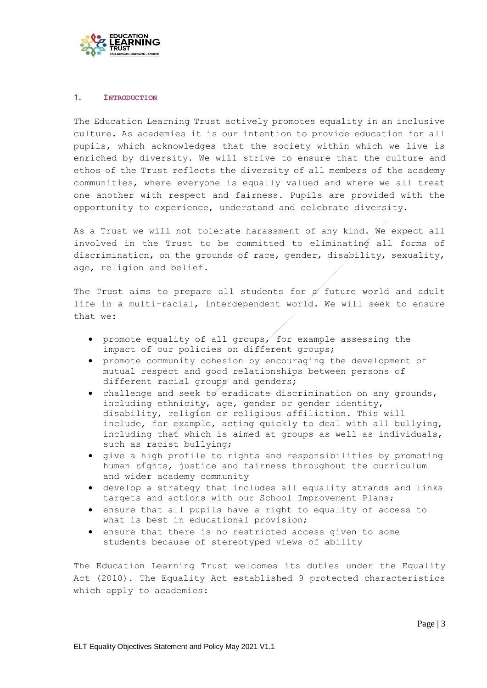

#### <span id="page-2-0"></span>**1. INTRODUCTION**

The Education Learning Trust actively promotes equality in an inclusive culture. As academies it is our intention to provide education for all pupils, which acknowledges that the society within which we live is enriched by diversity. We will strive to ensure that the culture and ethos of the Trust reflects the diversity of all members of the academy communities, where everyone is equally valued and where we all treat one another with respect and fairness. Pupils are provided with the opportunity to experience, understand and celebrate diversity.

As a Trust we will not tolerate harassment of any kind. We expect all involved in the Trust to be committed to eliminating all forms of discrimination, on the grounds of race, gender, disability, sexuality, age, religion and belief.

The Trust aims to prepare all students for a future world and adult life in a multi-racial, interdependent world. We will seek to ensure that we:

- promote equality of all groups, for example assessing the impact of our policies on different groups;
- promote community cohesion by encouraging the development of mutual respect and good relationships between persons of different racial groups and genders;
- challenge and seek to eradicate discrimination on any grounds, including ethnicity, age, gender or gender identity, disability, religion or religious affiliation. This will include, for example, acting quickly to deal with all bullying, including that which is aimed at groups as well as individuals, such as racist bullying;
- give a high profile to rights and responsibilities by promoting human rights, justice and fairness throughout the curriculum and wider academy community
- develop a strategy that includes all equality strands and links targets and actions with our School Improvement Plans;
- ensure that all pupils have a right to equality of access to what is best in educational provision;
- ensure that there is no restricted access given to some students because of stereotyped views of ability

The Education Learning Trust welcomes its duties under the Equality Act (2010). The Equality Act established 9 protected characteristics which apply to academies: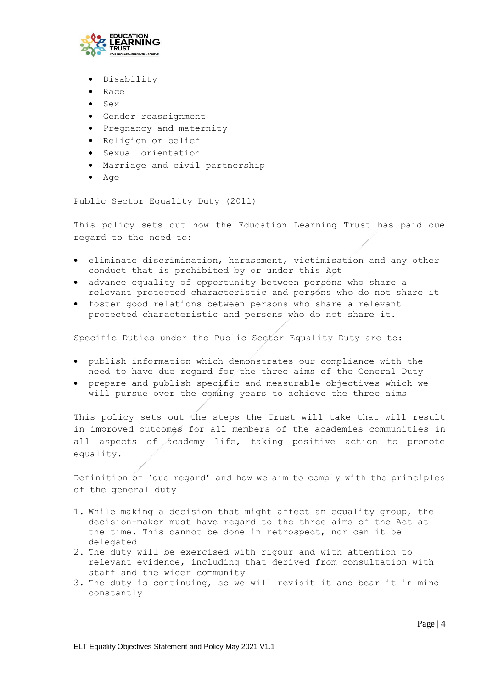

- Disability
- Race
- $\bullet$  Sex
- Gender reassignment
- **•** Pregnancy and maternity
- Religion or belief
- Sexual orientation
- Marriage and civil partnership
- $Aq$ e

Public Sector Equality Duty (2011)

This policy sets out how the Education Learning Trust has paid due regard to the need to:

- eliminate discrimination, harassment, victimisation and any other conduct that is prohibited by or under this Act
- advance equality of opportunity between persons who share a relevant protected characteristic and persons who do not share it
- foster good relations between persons who share a relevant protected characteristic and persons who do not share it.

Specific Duties under the Public Sector Equality Duty are to:

- publish information which demonstrates our compliance with the need to have due regard for the three aims of the General Duty
- prepare and publish specific and measurable objectives which we will pursue over the coming years to achieve the three aims

This policy sets out the steps the Trust will take that will result in improved outcomes for all members of the academies communities in all aspects of academy life, taking positive action to promote equality.

Definition of 'due regard' and how we aim to comply with the principles of the general duty

- 1. While making a decision that might affect an equality group, the decision-maker must have regard to the three aims of the Act at the time. This cannot be done in retrospect, nor can it be delegated
- 2. The duty will be exercised with rigour and with attention to relevant evidence, including that derived from consultation with staff and the wider community
- 3. The duty is continuing, so we will revisit it and bear it in mind constantly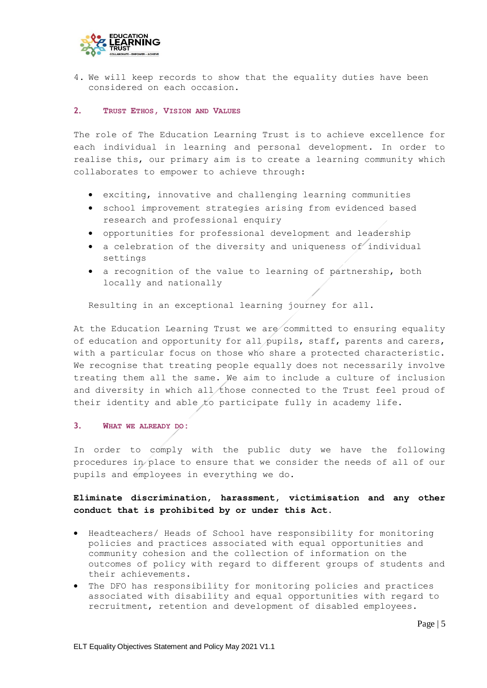

4. We will keep records to show that the equality duties have been considered on each occasion.

## <span id="page-4-0"></span>**2. TRUST ETHOS, VISION AND VALUES**

The role of The Education Learning Trust is to achieve excellence for each individual in learning and personal development. In order to realise this, our primary aim is to create a learning community which collaborates to empower to achieve through:

- exciting, innovative and challenging learning communities
- school improvement strategies arising from evidenced based research and professional enquiry
- opportunities for professional development and leadership
- a celebration of the diversity and uniqueness of individual settings
- a recognition of the value to learning of partnership, both locally and nationally

Resulting in an exceptional learning journey for all.

At the Education Learning Trust we are committed to ensuring equality of education and opportunity for all pupils, staff, parents and carers, with a particular focus on those who share a protected characteristic. We recognise that treating people equally does not necessarily involve treating them all the same. We aim to include a culture of inclusion and diversity in which all those connected to the Trust feel proud of their identity and able to participate fully in academy life.

# <span id="page-4-1"></span>**3. WHAT WE ALREADY DO:**

In order to comply with the public duty we have the following procedures in place to ensure that we consider the needs of all of our pupils and employees in everything we do.

# **Eliminate discrimination, harassment, victimisation and any other conduct that is prohibited by or under this Act.**

- Headteachers/ Heads of School have responsibility for monitoring policies and practices associated with equal opportunities and community cohesion and the collection of information on the outcomes of policy with regard to different groups of students and their achievements.
- The DFO has responsibility for monitoring policies and practices associated with disability and equal opportunities with regard to recruitment, retention and development of disabled employees.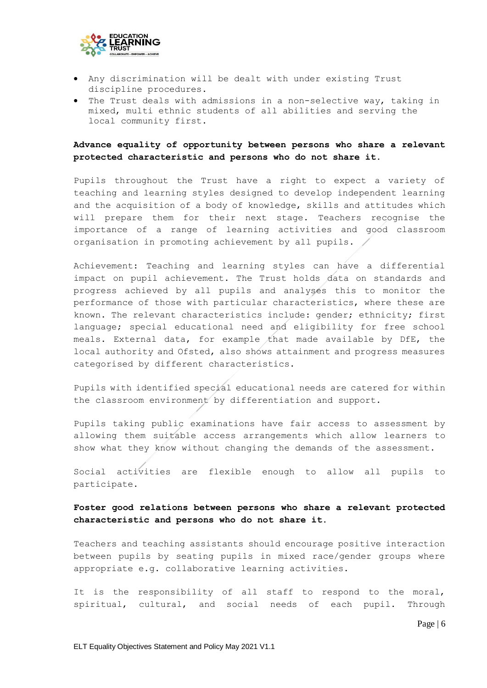

- Any discrimination will be dealt with under existing Trust discipline procedures.
- The Trust deals with admissions in a non-selective way, taking in mixed, multi ethnic students of all abilities and serving the local community first.

# **Advance equality of opportunity between persons who share a relevant protected characteristic and persons who do not share it.**

Pupils throughout the Trust have a right to expect a variety of teaching and learning styles designed to develop independent learning and the acquisition of a body of knowledge, skills and attitudes which will prepare them for their next stage. Teachers recognise the importance of a range of learning activities and good classroom organisation in promoting achievement by all pupils.

Achievement: Teaching and learning styles can have a differential impact on pupil achievement. The Trust holds data on standards and progress achieved by all pupils and analyses this to monitor the performance of those with particular characteristics, where these are known. The relevant characteristics include: gender; ethnicity; first language; special educational need and eligibility for free school meals. External data, for example that made available by DfE, the local authority and Ofsted, also shows attainment and progress measures categorised by different characteristics.

Pupils with identified special educational needs are catered for within the classroom environment by differentiation and support.

Pupils taking public examinations have fair access to assessment by allowing them suitable access arrangements which allow learners to show what they know without changing the demands of the assessment.

Social activities are flexible enough to allow all pupils to participate.

# **Foster good relations between persons who share a relevant protected characteristic and persons who do not share it.**

Teachers and teaching assistants should encourage positive interaction between pupils by seating pupils in mixed race/gender groups where appropriate e.g. collaborative learning activities.

It is the responsibility of all staff to respond to the moral, spiritual, cultural, and social needs of each pupil. Through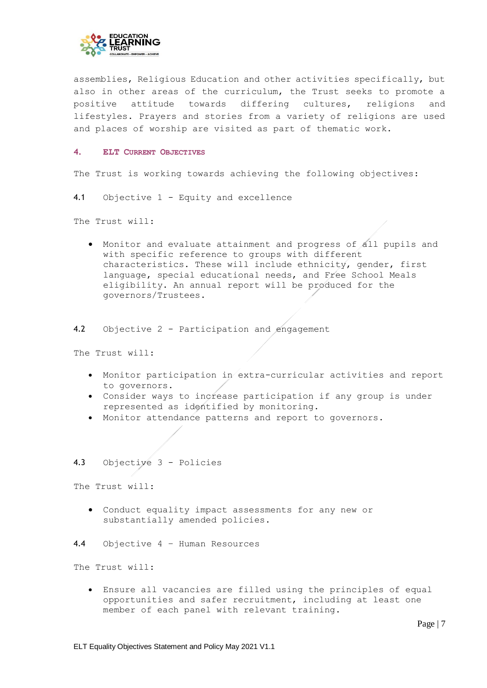

assemblies, Religious Education and other activities specifically, but also in other areas of the curriculum, the Trust seeks to promote a positive attitude towards differing cultures, religions and lifestyles. Prayers and stories from a variety of religions are used and places of worship are visited as part of thematic work.

#### <span id="page-6-0"></span>**4. ELT CURRENT OBJECTIVES**

The Trust is working towards achieving the following objectives:

<span id="page-6-1"></span>4.1 Objective 1 - Equity and excellence

The Trust will:

- Monitor and evaluate attainment and progress of all pupils and with specific reference to groups with different characteristics. These will include ethnicity, gender, first language, special educational needs, and Free School Meals eligibility. An annual report will be produced for the governors/Trustees.
- <span id="page-6-2"></span>4.2 Objective 2 - Participation and engagement

The Trust will:

- Monitor participation in extra-curricular activities and report to governors.
- Consider ways to increase participation if any group is under represented as identified by monitoring.
- Monitor attendance patterns and report to governors.

## <span id="page-6-3"></span>4.3 Objective 3 - Policies

The Trust will:

 Conduct equality impact assessments for any new or substantially amended policies.

<span id="page-6-4"></span>4.4 Objective 4 – Human Resources

The Trust will:

 Ensure all vacancies are filled using the principles of equal opportunities and safer recruitment, including at least one member of each panel with relevant training.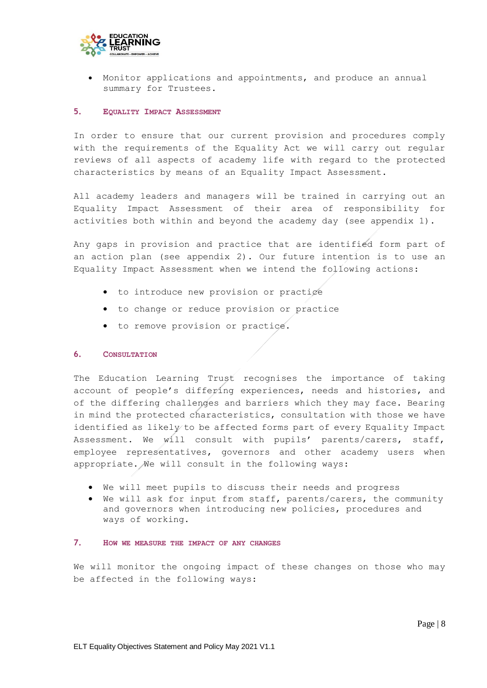

 Monitor applications and appointments, and produce an annual summary for Trustees.

#### <span id="page-7-0"></span>**5. EQUALITY IMPACT ASSESSMENT**

In order to ensure that our current provision and procedures comply with the requirements of the Equality Act we will carry out regular reviews of all aspects of academy life with regard to the protected characteristics by means of an Equality Impact Assessment.

All academy leaders and managers will be trained in carrying out an Equality Impact Assessment of their area of responsibility for activities both within and beyond the academy day (see appendix 1).

Any gaps in provision and practice that are identified form part of an action plan (see appendix 2). Our future intention is to use an Equality Impact Assessment when we intend the following actions:

- to introduce new provision or practige
- to change or reduce provision or practice
- to remove provision or practice.

#### <span id="page-7-1"></span>**6. CONSULTATION**

The Education Learning Trust recognises the importance of taking account of people's differing experiences, needs and histories, and of the differing challenges and barriers which they may face. Bearing in mind the protected characteristics, consultation with those we have identified as likely to be affected forms part of every Equality Impact Assessment. We will consult with pupils' parents/carers, staff, employee representatives, governors and other academy users when appropriate. We will consult in the following ways:

- We will meet pupils to discuss their needs and progress
- We will ask for input from staff, parents/carers, the community and governors when introducing new policies, procedures and ways of working.

## <span id="page-7-2"></span>**7. HOW WE MEASURE THE IMPACT OF ANY CHANGES**

We will monitor the ongoing impact of these changes on those who may be affected in the following ways: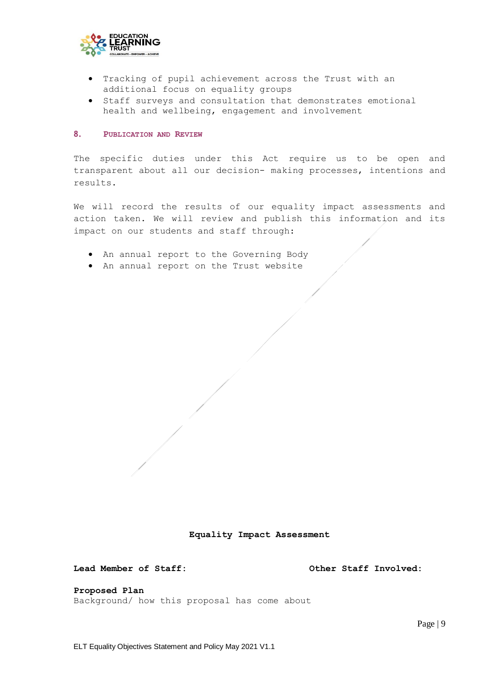

- Tracking of pupil achievement across the Trust with an additional focus on equality groups
- Staff surveys and consultation that demonstrates emotional health and wellbeing, engagement and involvement

#### <span id="page-8-0"></span>**8. PUBLICATION AND REVIEW**

The specific duties under this Act require us to be open and transparent about all our decision- making processes, intentions and results.

We will record the results of our equality impact assessments and action taken. We will review and publish this information and its impact on our students and staff through:

- An annual report to the Governing Body
- An annual report on the Trust website

**Equality Impact Assessment**

**Lead Member of Staff: Other Staff Involved:**

**Proposed Plan** 

Background/ how this proposal has come about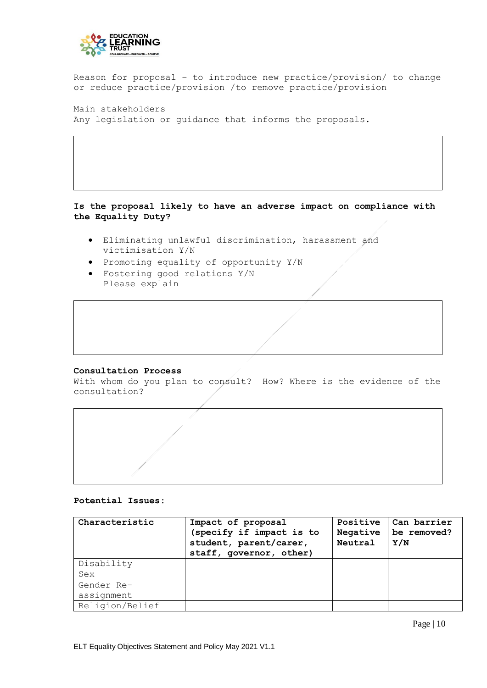

Reason for proposal – to introduce new practice/provision/ to change or reduce practice/provision /to remove practice/provision

Main stakeholders Any legislation or guidance that informs the proposals.

# **Is the proposal likely to have an adverse impact on compliance with the Equality Duty?**

- Eliminating unlawful discrimination, harassment and victimisation Y/N
- Promoting equality of opportunity Y/N
- Fostering good relations Y/N Please explain

#### **Consultation Process**

With whom do you plan to consult? How? Where is the evidence of the consultation?

### **Potential Issues:**

| Characteristic  | Impact of proposal<br>(specify if impact is to<br>student, parent/carer,<br>staff, governor, other) | Positive<br>Negative<br>Neutral | Can barrier<br>be removed?<br>Y/N |
|-----------------|-----------------------------------------------------------------------------------------------------|---------------------------------|-----------------------------------|
| Disability      |                                                                                                     |                                 |                                   |
| Sex             |                                                                                                     |                                 |                                   |
| Gender Re-      |                                                                                                     |                                 |                                   |
| assignment      |                                                                                                     |                                 |                                   |
| Religion/Belief |                                                                                                     |                                 |                                   |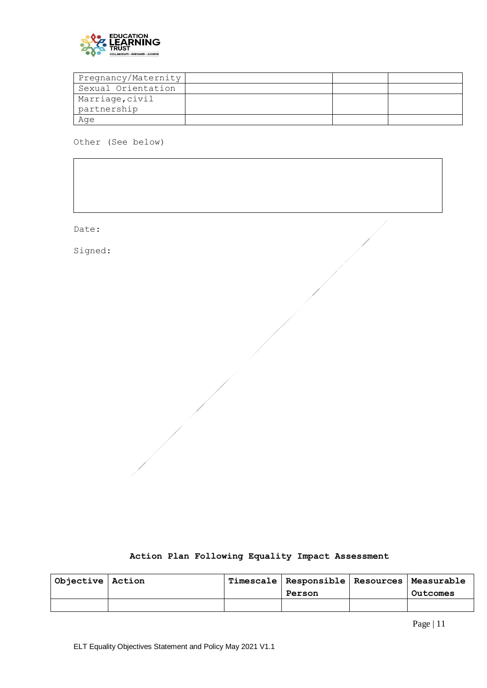

| Pregnancy/Maternity |  |  |
|---------------------|--|--|
| Sexual Orientation  |  |  |
| Marriage, civil     |  |  |
| partnership         |  |  |
| Age                 |  |  |

Other (See below)

Date:

Signed:

| Action Plan Following Equality Impact Assessment |  |  |  |  |  |  |
|--------------------------------------------------|--|--|--|--|--|--|
|--------------------------------------------------|--|--|--|--|--|--|

| Objective   Action |  | Timescale   Responsible   Resources   Measurable<br>Person | Outcomes |
|--------------------|--|------------------------------------------------------------|----------|
|                    |  |                                                            |          |
|                    |  |                                                            |          |